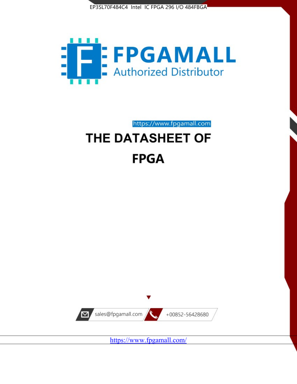



https://www.fpgamall.com THE DATASHEET OF

# **FPGA**



<https://www.fpgamall.com/>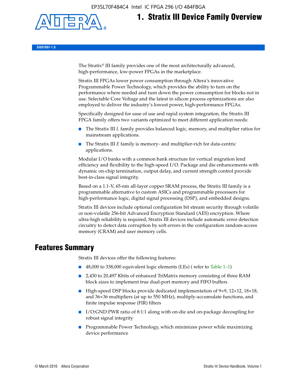EP3SL70F484C4 Intel IC FPGA 296 I/O 484FBGA



# **1. Stratix III Device Family Overview**

**SIII51001-1.8**

The Stratix® III family provides one of the most architecturally advanced, high-performance, low-power FPGAs in the marketplace.

Stratix III FPGAs lower power consumption through Altera's innovative Programmable Power Technology, which provides the ability to turn on the performance where needed and turn down the power consumption for blocks not in use. Selectable Core Voltage and the latest in silicon process optimizations are also employed to deliver the industry's lowest power, high-performance FPGAs.

Specifically designed for ease of use and rapid system integration, the Stratix III FPGA family offers two variants optimized to meet different application needs:

- The Stratix III *L* family provides balanced logic, memory, and multiplier ratios for mainstream applications.
- The Stratix III *E* family is memory- and multiplier-rich for data-centric applications.

Modular I/O banks with a common bank structure for vertical migration lend efficiency and flexibility to the high-speed I/O. Package and die enhancements with dynamic on-chip termination, output delay, and current strength control provide best-in-class signal integrity.

Based on a 1.1-V, 65-nm all-layer copper SRAM process, the Stratix III family is a programmable alternative to custom ASICs and programmable processors for high-performance logic, digital signal processing (DSP), and embedded designs.

Stratix III devices include optional configuration bit stream security through volatile or non-volatile 256-bit Advanced Encryption Standard (AES) encryption. Where ultra-high reliability is required, Stratix III devices include automatic error detection circuitry to detect data corruption by soft errors in the configuration random-access memory (CRAM) and user memory cells.

# **Features Summary**

Stratix III devices offer the following features:

- 48,000 to 338,000 equivalent logic elements (LEs) (refer to Table 1–1)
- 2,430 to 20,497 Kbits of enhanced TriMatrix memory consisting of three RAM block sizes to implement true dual-port memory and FIFO buffers
- High-speed DSP blocks provide dedicated implementation of 9×9, 12×12, 18×18, and 36×36 multipliers (at up to 550 MHz), multiply-accumulate functions, and finite impulse response (FIR) filters
- I/O:GND:PWR ratio of 8:1:1 along with on-die and on-package decoupling for robust signal integrity
- Programmable Power Technology, which minimizes power while maximizing device performance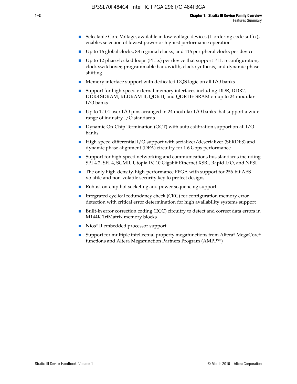- Selectable Core Voltage, available in low-voltage devices (L ordering code suffix), enables selection of lowest power or highest performance operation
- Up to 16 global clocks, 88 regional clocks, and 116 peripheral clocks per device
- Up to 12 phase-locked loops (PLLs) per device that support PLL reconfiguration, clock switchover, programmable bandwidth, clock synthesis, and dynamic phase shifting
- Memory interface support with dedicated DQS logic on all I/O banks
- Support for high-speed external memory interfaces including DDR, DDR2, DDR3 SDRAM, RLDRAM II, QDR II, and QDR II+ SRAM on up to 24 modular I/O banks
- Up to 1,104 user I/O pins arranged in 24 modular I/O banks that support a wide range of industry I/O standards
- Dynamic On-Chip Termination (OCT) with auto calibration support on all  $I/O$ banks
- High-speed differential I/O support with serializer/deserializer (SERDES) and dynamic phase alignment (DPA) circuitry for 1.6 Gbps performance
- Support for high-speed networking and communications bus standards including SPI-4.2, SFI-4, SGMII, Utopia IV, 10 Gigabit Ethernet XSBI, Rapid I/O, and NPSI
- The only high-density, high-performance FPGA with support for 256-bit AES volatile and non-volatile security key to protect designs
- Robust on-chip hot socketing and power sequencing support
- Integrated cyclical redundancy check (CRC) for configuration memory error detection with critical error determination for high availability systems support
- Built-in error correction coding (ECC) circuitry to detect and correct data errors in M144K TriMatrix memory blocks
- Nios<sup>®</sup> II embedded processor support
- Support for multiple intellectual property megafunctions from Altera® MegaCore® functions and Altera Megafunction Partners Program (AMPPSM)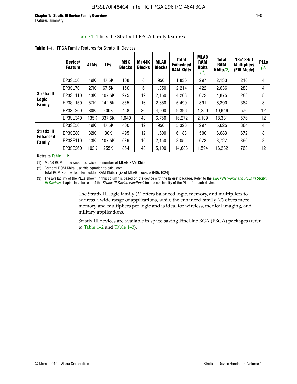#### Table 1–1 lists the Stratix III FPGA family features.

|                                       | Device/<br><b>Feature</b> | <b>ALMs</b> | <b>LEs</b> | M9K<br><b>Blocks</b> | <b>M144K</b><br><b>Blocks</b> | <b>MLAB</b><br><b>Blocks</b> | <b>Total</b><br>Embedded<br><b>RAM Kbits</b> | <b>MLAB</b><br><b>RAM</b><br><b>Kbits</b><br>(1) | <b>Total</b><br><b>RAM</b><br>Kbits $(2)$ | $18\times18$ -bit<br><b>Multipliers</b><br>(FIR Mode) | <b>PLLs</b><br>(3) |
|---------------------------------------|---------------------------|-------------|------------|----------------------|-------------------------------|------------------------------|----------------------------------------------|--------------------------------------------------|-------------------------------------------|-------------------------------------------------------|--------------------|
|                                       | EP3SL50                   | 19K         | 47.5K      | 108                  | 6                             | 950                          | 1,836                                        | 297                                              | 2,133                                     | 216                                                   | 4                  |
|                                       | EP3SL70                   | 27K         | 67.5K      | 150                  | 6                             | 1,350                        | 2,214                                        | 422                                              | 2,636                                     | 288                                                   | 4                  |
| <b>Stratix III</b>                    | EP3SL110                  | 43K         | 107.5K     | 275                  | 12                            | 2,150                        | 4,203                                        | 672                                              | 4,875                                     | 288                                                   | 8                  |
| Logic<br>Family                       | EP3SL150                  | 57K         | 142.5K     | 355                  | 16                            | 2,850                        | 5,499                                        | 891                                              | 6,390                                     | 384                                                   | 8                  |
|                                       | EP3SL200                  | 80K         | 200K       | 468                  | 36                            | 4,000                        | 9,396                                        | 1,250                                            | 10,646                                    | 576                                                   | 12                 |
|                                       | EP3SL340                  | 135K        | 337.5K     | 1,040                | 48                            | 6,750                        | 16,272                                       | 2,109                                            | 18,381                                    | 576                                                   | 12                 |
|                                       | EP3SE50                   | 19K         | 47.5K      | 400                  | 12                            | 950                          | 5,328                                        | 297                                              | 5,625                                     | 384                                                   | 4                  |
| <b>Stratix III</b><br><b>Enhanced</b> | EP3SE80                   | 32K         | 80K        | 495                  | 12                            | 1,600                        | 6,183                                        | 500                                              | 6,683                                     | 672                                                   | 8                  |
| Family                                | EP3SE110                  | 43K         | 107.5K     | 639                  | 16                            | 2,150                        | 8,055                                        | 672                                              | 8,727                                     | 896                                                   | 8                  |
|                                       | EP3SE260                  | 102K        | 255K       | 864                  | 48                            | 5,100                        | 14,688                                       | 1,594                                            | 16,282                                    | 768                                                   | 12                 |

**Notes to Table 1–1:**

(1) MLAB ROM mode supports twice the number of MLAB RAM Kbits.

(2) For total ROM Kbits, use this equation to calculate: Total ROM Kbits = Total Embedded RAM Kbits +  $[(# of MLAB blocks × 640)/1024]$ 

(3) The availability of the PLLs shown in this column is based on the device with the largest package. Refer to the *[Clock Networks and PLLs in Stratix](http://www.altera.com/literature/hb/stx3/stx3_siii51006.pdf)  [III Devices](http://www.altera.com/literature/hb/stx3/stx3_siii51006.pdf)* chapter in volume 1 of the *Stratix III Device Handbook* for the availability of the PLLs for each device.

> The Stratix III logic family (*L*) offers balanced logic, memory, and multipliers to address a wide range of applications, while the enhanced family (*E*) offers more memory and multipliers per logic and is ideal for wireless, medical imaging, and military applications.

Stratix III devices are available in space-saving FineLine BGA (FBGA) packages (refer to Table 1–2 and Table 1–3).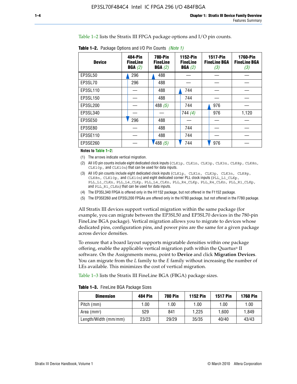Table 1–2 lists the Stratix III FPGA package options and I/O pin counts.

**Table 1–2.** Package Options and I/O Pin Counts *(Note 1)*

| <b>Device</b> | 484-Pin<br><b>FineLine</b><br>BGA(2) | <b>780-Pin</b><br><b>FineLine</b><br>BGA(2) | 1152-Pin<br><b>FineLine</b><br>BGA(2) | <b>1517-Pin</b><br><b>FineLine BGA</b><br>(3) | <b>1760-Pin</b><br><b>FineLine BGA</b><br>(3) |
|---------------|--------------------------------------|---------------------------------------------|---------------------------------------|-----------------------------------------------|-----------------------------------------------|
| EP3SL50       | 296                                  | 488                                         |                                       |                                               |                                               |
| EP3SL70       | 296                                  | 488                                         |                                       |                                               |                                               |
| EP3SL110      |                                      | 488                                         | 744                                   |                                               |                                               |
| EP3SL150      |                                      | 488                                         | 744                                   |                                               |                                               |
| EP3SL200      |                                      | 488 $(5)$                                   | 744                                   | 976                                           |                                               |
| EP3SL340      |                                      |                                             | 744(4)                                | 976                                           | 1,120                                         |
| EP3SE50       | 296                                  | 488                                         |                                       |                                               |                                               |
| EP3SE80       |                                      | 488                                         | 744                                   |                                               |                                               |
| EP3SE110      |                                      | 488                                         | 744                                   |                                               |                                               |
| EP3SE260      |                                      | /488(5)                                     | 744                                   | 976                                           |                                               |

#### **Notes to Table 1–2:**

(1) The arrows indicate vertical migration.

- (2) All I/O pin counts include eight dedicated clock inputs (CLK1p, CLK1n, CLK3p, CLK3n, CLK8p, CLK8n, CLK10p, and CLK10n) that can be used for data inputs.
- (3) All I/O pin counts include eight dedicated clock inputs (CLK1p, CLK1n, CLK3p, CLK3n, CLK8p, CLK8n, CLK10p, and CLK10n) and eight dedicated corner PLL clock inputs (PLL\_L1\_CLKp, PLL\_L1\_CLKn, PLL\_L4\_CLKp, PLL\_L4\_CLKn, PLL\_R4\_CLKp, PLL\_R4\_CLKn, PLL\_R1\_CLKp, and PLL\_R1\_CLKn) that can be used for data inputs.
- (4) The EP3SL340 FPGA is offered only in the H1152 package, but not offered in the F1152 package.
- (5) The EP3SE260 and EP3SL200 FPGAs are offered only in the H780 package, but not offered in the F780 package.

All Stratix III devices support vertical migration within the same package (for example, you can migrate between the EP3SL50 and EP3SL70 devices in the 780-pin FineLine BGA package). Vertical migration allows you to migrate to devices whose dedicated pins, configuration pins, and power pins are the same for a given package across device densities.

To ensure that a board layout supports migratable densities within one package offering, enable the applicable vertical migration path within the Quartus® II software. On the Assignments menu, point to **Device** and click **Migration Devices**. You can migrate from the *L* family to the *E* family without increasing the number of LEs available. This minimizes the cost of vertical migration.

Table 1–3 lists the Stratix III FineLine BGA (FBGA) package sizes.

| Table 1-3. FineLine BGA Package Sizes |  |
|---------------------------------------|--|
|---------------------------------------|--|

| <b>Dimension</b>     | <b>484 Pin</b> | <b>780 Pin</b> | <b>1152 Pin</b> | <b>1517 Pin</b> | <b>1760 Pin</b> |
|----------------------|----------------|----------------|-----------------|-----------------|-----------------|
| Pitch (mm)           | 1.00           | 1.00           | 1.00            | 1.00            | 1.00            |
| Area (mmª)           | 529            | 841            | 1.225           | 1.600           | 1.849           |
| Length/Width (mm/mm) | 23/23          | 29/29          | 35/35           | 40/40           | 43/43           |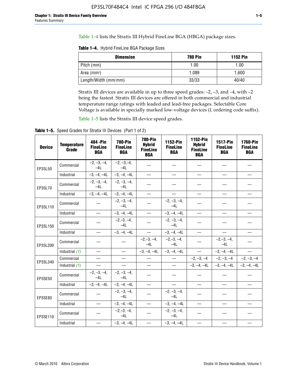Table 1–4 lists the Stratix III Hybrid FineLine BGA (HBGA) package sizes.

**Table 1–4.** Hybrid FineLine BGA Package Sizes

| <b>Dimension</b>        | <b>780 Pin</b> | <b>1152 Pin</b> |
|-------------------------|----------------|-----------------|
| Pitch (mm)              | 1.00           | 1.00            |
| Area (mm <sup>2</sup> ) | 1.089          | 1.600           |
| Length/Width (mm/mm)    | 33/33          | 40/40           |

Stratix III devices are available in up to three speed grades: –2, –3, and –4, with –2 being the fastest. Stratix III devices are offered in both commercial and industrial temperature range ratings with leaded and lead-free packages. Selectable Core Voltage is available in specially marked low-voltage devices (*L* ordering code suffix).

Table 1–5 lists the Stratix III device speed grades.

Table 1-5. Speed Grades for Stratix III Devices (Part 1 of 2)

| <b>Device</b> | <b>Temperature</b><br>Grade | 484 - Pin<br><b>FineLine</b><br><b>BGA</b> | <b>780-Pin</b><br><b>FineLine</b><br><b>BGA</b> | <b>780-Pin</b><br><b>Hybrid</b><br><b>FineLine</b><br><b>BGA</b> | 1152-Pin<br><b>FineLine</b><br><b>BGA</b> | 1152-Pin<br><b>Hybrid</b><br><b>FineLine</b><br><b>BGA</b> | 1517-Pin<br><b>FineLine</b><br><b>BGA</b> | 1760-Pin<br><b>FineLine</b><br><b>BGA</b> |
|---------------|-----------------------------|--------------------------------------------|-------------------------------------------------|------------------------------------------------------------------|-------------------------------------------|------------------------------------------------------------|-------------------------------------------|-------------------------------------------|
| EP3SL50       | Commercial                  | $-2, -3, -4,$<br>$-4L$                     | $-2, -3, -4,$<br>$-4L$                          |                                                                  |                                           |                                                            |                                           |                                           |
|               | Industrial                  | $-3, -4, -4L$                              | $-3, -4, -4L$                                   | $\overline{\phantom{0}}$                                         | $\equiv$                                  | $\overline{\phantom{0}}$                                   | $\equiv$                                  | $\overline{\phantom{0}}$                  |
| EP3SL70       | Commercial                  | $-2, -3, -4,$<br>$-41$                     | $-2, -3, -4,$<br>$-41$                          |                                                                  |                                           |                                                            |                                           |                                           |
|               | Industrial                  | $-3, -4, -4L$                              | $-3, -4, -4L$                                   | $\equiv$                                                         |                                           | $\overline{\phantom{0}}$                                   |                                           | $\overline{\phantom{0}}$                  |
| EP3SL110      | Commercial                  |                                            | $-2, -3, -4,$<br>$-4L$                          |                                                                  | $-2, -3, -4,$<br>$-4L$                    |                                                            |                                           |                                           |
|               | Industrial                  | $\equiv$                                   | $-3, -4, -4L$                                   |                                                                  | $-3, -4, -4L$                             | $\frac{1}{2}$                                              | $\equiv$                                  | $\overline{\phantom{0}}$                  |
| EP3SL150      | Commercial                  |                                            | $-2, -3, -4,$<br>$-4L$                          |                                                                  | $-2, -3, -4,$<br>$-4L$                    |                                                            |                                           |                                           |
|               | Industrial                  |                                            | $-3, -4, -4L$                                   | $\overline{\phantom{m}}$                                         | $-3, -4, -4L$                             | $\overline{\phantom{0}}$                                   |                                           |                                           |
| EP3SL200      | Commercial                  |                                            |                                                 | $-2, -3, -4,$<br>$-4L$                                           | $-2,-3,-4,$<br>$-4L$                      |                                                            | $-2,-3,-4,$<br>$-4L$                      |                                           |
|               | Industrial (1)              | $\equiv$                                   | $\frac{1}{2}$                                   |                                                                  | $-3, -4, -4L$ $-3, -4, -4L$               | $\frac{1}{1}$                                              | $-3, -4, -4L$                             | $\frac{1}{1}$                             |
| EP3SL340      | Commercial                  | $\overline{\phantom{0}}$                   |                                                 |                                                                  | $\overline{\phantom{0}}$                  |                                                            | $-2, -3, -4$ $-2, -3, -4$                 | $-2, -3, -4$                              |
|               | Industrial (1)              | $\equiv$                                   |                                                 | $\qquad \qquad -$                                                | $\frac{1}{2}$                             |                                                            | $-3, -4, -4L$ $-3, -4, -4L$               | $-3, -4, -4L$                             |
| EP3SE50       | Commercial                  | $-2, -3, -4,$<br>$-4L$                     | $-2, -3, -4,$<br>$-4L$                          |                                                                  |                                           |                                                            |                                           |                                           |
|               | Industrial                  | $-3, -4, -4L$                              | $-3, -4, -4L$                                   | $\equiv$                                                         | $\equiv$                                  |                                                            | $\equiv$                                  | $\equiv$                                  |
| EP3SE80       | Commercial                  |                                            | $-2, -3, -4,$<br>$-41$                          |                                                                  | $-2, -3, -4,$<br>$-4L$                    |                                                            |                                           |                                           |
|               | Industrial                  |                                            | $-3, -4, -4L$                                   |                                                                  | $-3, -4, -4L$                             | $\overline{\phantom{0}}$                                   | $\equiv$                                  | $\qquad \qquad$                           |
| EP3SE110      | Commercial                  |                                            | $-2, -3, -4,$<br>$-4L$                          |                                                                  | $-2, -3, -4,$<br>$-4L$                    |                                                            |                                           |                                           |
|               | Industrial                  |                                            | $-3, -4, -4L$                                   | $\overline{\phantom{0}}$                                         | $-3, -4, -4L$                             |                                                            |                                           |                                           |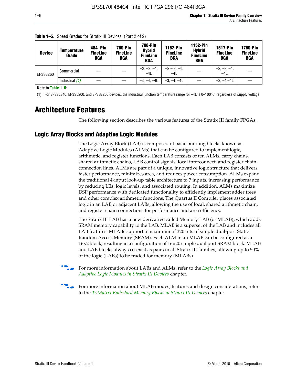| <b>Device</b> | <b>Temperature</b><br>Grade | 484 - Pin<br><b>FineLine</b><br>BGA | <b>780-Pin</b><br><b>FineLine</b><br><b>BGA</b> | 780-Pin<br><b>Hybrid</b><br><b>FineLine</b><br><b>BGA</b> | 1152-Pin<br><b>FineLine</b><br><b>BGA</b> | 1152-Pin<br><b>Hybrid</b><br><b>FineLine</b><br><b>BGA</b> | <b>1517-Pin</b><br><b>FineLine</b><br><b>BGA</b> | <b>1760-Pin</b><br><b>FineLine</b><br><b>BGA</b> |
|---------------|-----------------------------|-------------------------------------|-------------------------------------------------|-----------------------------------------------------------|-------------------------------------------|------------------------------------------------------------|--------------------------------------------------|--------------------------------------------------|
| EP3SE260      | Commercial                  |                                     |                                                 | $-2, -3, -4,$<br>$-4L$                                    | $-2, -3, -4,$<br>$-4L$                    |                                                            | $-2, -3, -4,$<br>$-4L$                           |                                                  |
|               | Industrial $(1)$            |                                     |                                                 | $-3, -4, -4L$                                             | $-3, -4, -4L$                             |                                                            | $-3, -4, -4L$                                    |                                                  |

**Table 1–5.** Speed Grades for Stratix III Devices (Part 2 of 2)

**Note to Table 1–5:**

(1) For EP3SL340, EP3SL200, and EP3SE260 devices, the industrial junction temperature range for –4L is 0–100°C, regardless of supply voltage.

# **Architecture Features**

The following section describes the various features of the Stratix III family FPGAs.

### **Logic Array Blocks and Adaptive Logic Modules**

The Logic Array Block (LAB) is composed of basic building blocks known as Adaptive Logic Modules (ALMs) that can be configured to implement logic, arithmetic, and register functions. Each LAB consists of ten ALMs, carry chains, shared arithmetic chains, LAB control signals, local interconnect, and register chain connection lines. ALMs are part of a unique, innovative logic structure that delivers faster performance, minimizes area, and reduces power consumption. ALMs expand the traditional 4-input look-up table architecture to 7 inputs, increasing performance by reducing LEs, logic levels, and associated routing. In addition, ALMs maximize DSP performance with dedicated functionality to efficiently implement adder trees and other complex arithmetic functions. The Quartus II Compiler places associated logic in an LAB or adjacent LABs, allowing the use of local, shared arithmetic chain, and register chain connections for performance and area efficiency.

The Stratix III LAB has a new derivative called Memory LAB (or MLAB), which adds SRAM memory capability to the LAB. MLAB is a superset of the LAB and includes all LAB features. MLABs support a maximum of 320 bits of simple dual-port Static Random Access Memory (SRAM). Each ALM in an MLAB can be configured as a 16×2 block, resulting in a configuration of 16×20 simple dual port SRAM block. MLAB and LAB blocks always co-exist as pairs in all Stratix III families, allowing up to 50% of the logic (LABs) to be traded for memory (MLABs).



f For more information about LABs and ALMs, refer to the *[Logic Array Blocks and](http://www.altera.com/literature/hb/stx3/stx3_siii51002.pdf)  [Adaptive Logic Modules in Stratix III Devices](http://www.altera.com/literature/hb/stx3/stx3_siii51002.pdf)* chapter.



For more information about MLAB modes, features and design considerations, refer to the *[TriMatrix Embedded Memory Blocks in Stratix III Devices](http://www.altera.com/literature/hb/stx3/stx3_siii51004.pdf)* chapter.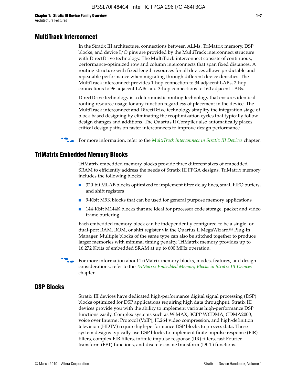#### **MultiTrack Interconnect**

In the Stratix III architecture, connections between ALMs, TriMatrix memory, DSP blocks, and device I/O pins are provided by the MultiTrack interconnect structure with DirectDrive technology. The MultiTrack interconnect consists of continuous, performance-optimized row and column interconnects that span fixed distances. A routing structure with fixed length resources for all devices allows predictable and repeatable performance when migrating through different device densities. The MultiTrack interconnect provides 1-hop connection to 34 adjacent LABs, 2-hop connections to 96 adjacent LABs and 3-hop connections to 160 adjacent LABs.

DirectDrive technology is a deterministic routing technology that ensures identical routing resource usage for any function regardless of placement in the device. The MultiTrack interconnect and DirectDrive technology simplify the integration stage of block-based designing by eliminating the reoptimization cycles that typically follow design changes and additions. The Quartus II Compiler also automatically places critical design paths on faster interconnects to improve design performance.

#### f For more information, refer to the *[MultiTrack Interconnect in Stratix III Devices](http://www.altera.com/literature/hb/stx3/stx3_siii51003.pdf)* chapter.

#### **TriMatrix Embedded Memory Blocks**

TriMatrix embedded memory blocks provide three different sizes of embedded SRAM to efficiently address the needs of Stratix III FPGA designs. TriMatrix memory includes the following blocks:

- 320-bit MLAB blocks optimized to implement filter delay lines, small FIFO buffers, and shift registers
- 9-Kbit M9K blocks that can be used for general purpose memory applications
- 144-Kbit M144K blocks that are ideal for processor code storage, packet and video frame buffering

Each embedded memory block can be independently configured to be a single- or dual-port RAM, ROM, or shift register via the Quartus II MegaWizard™ Plug-In Manager. Multiple blocks of the same type can also be stitched together to produce larger memories with minimal timing penalty. TriMatrix memory provides up to 16,272 Kbits of embedded SRAM at up to 600 MHz operation.

For more information about TriMatrix memory blocks, modes, features, and design considerations, refer to the *[TriMatrix Embedded Memory Blocks in Stratix III Devices](http://www.altera.com/literature/hb/stx3/stx3_siii51004.pdf)* chapter.

#### **DSP Blocks**

Stratix III devices have dedicated high-performance digital signal processing (DSP) blocks optimized for DSP applications requiring high data throughput. Stratix III devices provide you with the ability to implement various high-performance DSP functions easily. Complex systems such as WiMAX, 3GPP WCDMA, CDMA2000, voice over Internet Protocol (VoIP), H.264 video compression, and high-definition television (HDTV) require high-performance DSP blocks to process data. These system designs typically use DSP blocks to implement finite impulse response (FIR) filters, complex FIR filters, infinite impulse response (IIR) filters, fast Fourier transform (FFT) functions, and discrete cosine transform (DCT) functions.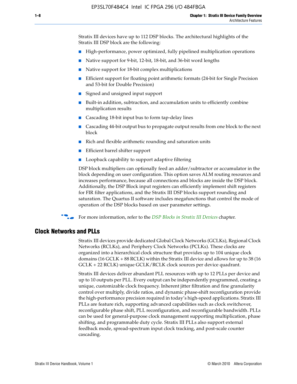Stratix III devices have up to 112 DSP blocks. The architectural highlights of the Stratix III DSP block are the following:

- High-performance, power optimized, fully pipelined multiplication operations
- Native support for 9-bit, 12-bit, 18-bit, and 36-bit word lengths
- Native support for 18-bit complex multiplications
- Efficient support for floating point arithmetic formats (24-bit for Single Precision and 53-bit for Double Precision)
- Signed and unsigned input support
- Built-in addition, subtraction, and accumulation units to efficiently combine multiplication results
- Cascading 18-bit input bus to form tap-delay lines
- Cascading 44-bit output bus to propagate output results from one block to the next block
- Rich and flexible arithmetic rounding and saturation units
- Efficient barrel shifter support
- Loopback capability to support adaptive filtering

DSP block multipliers can optionally feed an adder/subtractor or accumulator in the block depending on user configuration. This option saves ALM routing resources and increases performance, because all connections and blocks are inside the DSP block. Additionally, the DSP Block input registers can efficiently implement shift registers for FIR filter applications, and the Stratix III DSP blocks support rounding and saturation. The Quartus II software includes megafunctions that control the mode of operation of the DSP blocks based on user parameter settings.

f For more information, refer to the *[DSP Blocks in Stratix III Devices](http://www.altera.com/literature/hb/stx3/stx3_siii51005.pdf)* chapter.

#### **Clock Networks and PLLs**

Stratix III devices provide dedicated Global Clock Networks (GCLKs), Regional Clock Networks (RCLKs), and Periphery Clock Networks (PCLKs). These clocks are organized into a hierarchical clock structure that provides up to 104 unique clock domains (16 GCLK + 88 RCLK) within the Stratix III device and allows for up to 38 (16 GCLK + 22 RCLK) unique GCLK/RCLK clock sources per device quadrant.

Stratix III devices deliver abundant PLL resources with up to 12 PLLs per device and up to 10 outputs per PLL. Every output can be independently programmed, creating a unique, customizable clock frequency. Inherent jitter filtration and fine granularity control over multiply, divide ratios, and dynamic phase-shift reconfiguration provide the high-performance precision required in today's high-speed applications. Stratix III PLLs are feature rich, supporting advanced capabilities such as clock switchover, reconfigurable phase shift, PLL reconfiguration, and reconfigurable bandwidth. PLLs can be used for general-purpose clock management supporting multiplication, phase shifting, and programmable duty cycle. Stratix III PLLs also support external feedback mode, spread-spectrum input clock tracking, and post-scale counter cascading.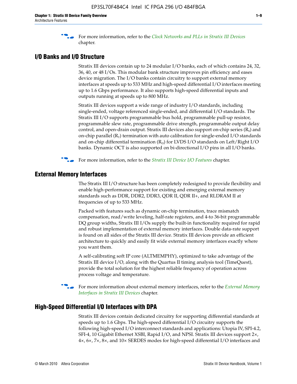f For more information, refer to the *[Clock Networks and PLLs in Stratix III Devices](http://www.altera.com/literature/hb/stx3/stx3_siii51006.pdf)* chapter.

### **I/O Banks and I/O Structure**

Stratix III devices contain up to 24 modular I/O banks, each of which contains 24, 32, 36, 40, or 48 I/Os. This modular bank structure improves pin efficiency and eases device migration. The I/O banks contain circuitry to support external memory interfaces at speeds up to 533 MHz and high-speed differential I/O interfaces meeting up to 1.6 Gbps performance. It also supports high-speed differential inputs and outputs running at speeds up to 800 MHz.

Stratix III devices support a wide range of industry I/O standards, including single-ended, voltage referenced single-ended, and differential I/O standards. The Stratix III I/O supports programmable bus hold, programmable pull-up resistor, programmable slew rate, programmable drive strength, programmable output delay control, and open-drain output. Stratix III devices also support on-chip series  $(R<sub>s</sub>)$  and on-chip parallel  $(R_T)$  termination with auto calibration for single-ended I/O standards and on-chip differential termination  $(R_D)$  for LVDS I/O standards on Left/Right I/O banks. Dynamic OCT is also supported on bi-directional I/O pins in all I/O banks.

**For more information, refer to the** *[Stratix III Device I/O Features](http://www.altera.com/literature/hb/stx3/stx3_siii51007.pdf)* **chapter.** 

# **External Memory Interfaces**

The Stratix III I/O structure has been completely redesigned to provide flexibility and enable high-performance support for existing and emerging external memory standards such as DDR, DDR2, DDR3, QDR II, QDR II+, and RLDRAM II at frequencies of up to 533 MHz.

Packed with features such as dynamic on-chip termination, trace mismatch compensation, read/write leveling, half-rate registers, and 4-to 36-bit programmable DQ group widths, Stratix III I/Os supply the built-in functionality required for rapid and robust implementation of external memory interfaces. Double data-rate support is found on all sides of the Stratix III device. Stratix III devices provide an efficient architecture to quickly and easily fit wide external memory interfaces exactly where you want them.

A self-calibrating soft IP core (ALTMEMPHY), optimized to take advantage of the Stratix III device I/O, along with the Quartus II timing analysis tool (TimeQuest), provide the total solution for the highest reliable frequency of operation across process voltage and temperature.

f For more information about external memory interfaces, refer to the *[External Memory](http://www.altera.com/literature/hb/stx3/stx3_siii51008.pdf)  [Interfaces in Stratix III Devices](http://www.altera.com/literature/hb/stx3/stx3_siii51008.pdf)* chapter.

#### **High-Speed Differential I/O Interfaces with DPA**

Stratix III devices contain dedicated circuitry for supporting differential standards at speeds up to 1.6 Gbps. The high-speed differential I/O circuitry supports the following high-speed I/O interconnect standards and applications: Utopia IV, SPI-4.2, SFI-4, 10 Gigabit Ethernet XSBI, Rapid I/O, and NPSI. Stratix III devices support 2×, 4×, 6×, 7×, 8×, and 10× SERDES modes for high-speed differential I/O interfaces and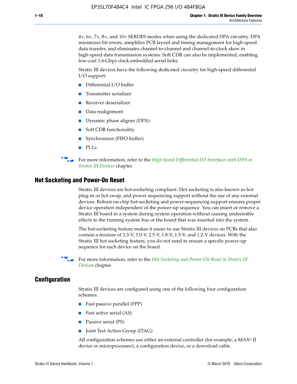4×, 6×, 7×, 8×, and 10× SERDES modes when using the dedicated DPA circuitry. DPA minimizes bit errors, simplifies PCB layout and timing management for high-speed data transfer, and eliminates channel-to-channel and channel-to-clock skew in high-speed data transmission systems. Soft CDR can also be implemented, enabling low-cost 1.6-Gbps clock embedded serial links.

Stratix III devices have the following dedicated circuitry for high-speed differential I/O support:

- Differential I/O buffer
- Transmitter serializer
- Receiver deserializer
- Data realignment
- Dynamic phase aligner (DPA)
- Soft CDR functionality
- Synchronizer (FIFO buffer)
- PLLs

**for more information, refer to the** *High Speed Differential I/O Interfaces with DPA in [Stratix III Devices](http://www.altera.com/literature/hb/stx3/stx3_siii51009.pdf)* chapter.

#### **Hot Socketing and Power-On Reset**

Stratix III devices are hot-socketing compliant. Hot socketing is also known as hot plug-in or hot swap, and power sequencing support without the use of any external devices. Robust on-chip hot-socketing and power-sequencing support ensures proper device operation independent of the power-up sequence. You can insert or remove a Stratix III board in a system during system operation without causing undesirable effects to the running system bus or the board that was inserted into the system.

The hot-socketing feature makes it easier to use Stratix III devices on PCBs that also contain a mixture of 3.3-V, 3.0-V, 2.5-V, 1.8-V, 1.5-V, and 1.2-V devices. With the Stratix III hot socketing feature, you do not need to ensure a specific power-up sequence for each device on the board.

f For more information, refer to the *[Hot Socketing and Power-On Reset in Stratix III](http://www.altera.com/literature/hb/stx3/stx3_siii51010.pdf)  [Device](http://www.altera.com/literature/hb/stx3/stx3_siii51010.pdf)s* chapter.

### **Configuration**

Stratix III devices are configured using one of the following four configuration schemes:

- Fast passive parallel (FPP)
- Fast active serial (AS)
- Passive serial (PS)
- Joint Test Action Group (JTAG)

All configuration schemes use either an external controller (for example, a  $MAX<sup>®</sup>$  II device or microprocessor), a configuration device, or a download cable.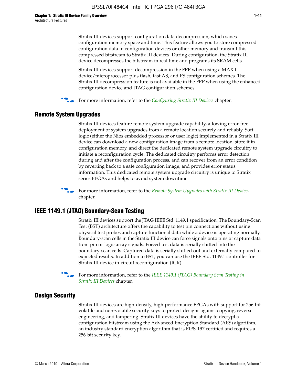Stratix III devices support configuration data decompression, which saves configuration memory space and time. This feature allows you to store compressed configuration data in configuration devices or other memory and transmit this compressed bitstream to Stratix III devices. During configuration, the Stratix III device decompresses the bitstream in real time and programs its SRAM cells.

Stratix III devices support decompression in the FPP when using a MAX II device/microprocessor plus flash, fast AS, and PS configuration schemes. The Stratix III decompression feature is not available in the FPP when using the enhanced configuration device and JTAG configuration schemes.

For more information, refer to the *[Configuring Stratix III Devices](http://www.altera.com/literature/hb/stx3/stx3_siii51011.pdf)* chapter.

# **Remote System Upgrades**

Stratix III devices feature remote system upgrade capability, allowing error-free deployment of system upgrades from a remote location securely and reliably. Soft logic (either the Nios embedded processor or user logic) implemented in a Stratix III device can download a new configuration image from a remote location, store it in configuration memory, and direct the dedicated remote system upgrade circuitry to initiate a reconfiguration cycle. The dedicated circuitry performs error detection during and after the configuration process, and can recover from an error condition by reverting back to a safe configuration image, and provides error status information. This dedicated remote system upgrade circuitry is unique to Stratix series FPGAs and helps to avoid system downtime.



**For more information, refer to the** *[Remote System Upgrades with Stratix III Devices](http://www.altera.com/literature/hb/stx3/stx3_siii51012.pdf)* chapter.

# **IEEE 1149.1 (JTAG) Boundary-Scan Testing**

Stratix III devices support the JTAG IEEE Std. 1149.1 specification. The Boundary-Scan Test (BST) architecture offers the capability to test pin connections without using physical test probes and capture functional data while a device is operating normally. Boundary-scan cells in the Stratix III device can force signals onto pins or capture data from pin or logic array signals. Forced test data is serially shifted into the boundary-scan cells. Captured data is serially shifted out and externally compared to expected results. In addition to BST, you can use the IEEE Std. 1149.1 controller for Stratix III device in-circuit reconfiguration (ICR).

For more information, refer to the *IEEE 1149.1 (JTAG) Boundary Scan Testing in [Stratix III Devices](http://www.altera.com/literature/hb/stx3/stx3_siii51013.pdf)* chapter.

# **Design Security**

Stratix III devices are high-density, high-performance FPGAs with support for 256-bit volatile and non-volatile security keys to protect designs against copying, reverse engineering, and tampering. Stratix III devices have the ability to decrypt a configuration bitstream using the Advanced Encryption Standard (AES) algorithm, an industry standard encryption algorithm that is FIPS-197 certified and requires a 256-bit security key.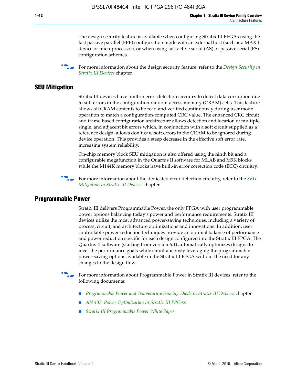The design security feature is available when configuring Stratix III FPGAs using the fast passive parallel (FPP) configuration mode with an external host (such as a MAX II device or microprocessor), or when using fast active serial (AS) or passive serial (PS) configuration schemes.

f For more information about the design security feature, refer to the *[Design Security in](http://www.altera.com/literature/hb/stx3/stx3_siii51014.pdf)  [Stratix III Devices](http://www.altera.com/literature/hb/stx3/stx3_siii51014.pdf)* chapter.

### **SEU Mitigation**

Stratix III devices have built-in error detection circuitry to detect data corruption due to soft errors in the configuration random-access memory (CRAM) cells. This feature allows all CRAM contents to be read and verified continuously during user mode operation to match a configuration-computed CRC value. The enhanced CRC circuit and frame-based configuration architecture allows detection and location of multiple, single, and adjacent bit errors which, in conjunction with a soft circuit supplied as a reference design, allows don't-care soft errors in the CRAM to be ignored during device operation. This provides a steep decrease in the effective soft error rate, increasing system reliability.

On-chip memory block SEU mitigation is also offered using the ninth bit and a configurable megafunction in the Quartus II software for MLAB and M9K blocks while the M144K memory blocks have built-in error correction code (ECC) circuitry.

For more information about the dedicated error detection circuitry, refer to the *SEU [Mitigation in Stratix III Devices](http://www.altera.com/literature/hb/stx3/stx3_siii51015.pdf)* chapter.

#### **Programmable Power**

Stratix III delivers Programmable Power, the only FPGA with user programmable power options balancing today's power and performance requirements. Stratix III devices utilize the most advanced power-saving techniques, including a variety of process, circuit, and architecture optimizations and innovations. In addition, user controllable power reduction techniques provide an optimal balance of performance and power reduction specific for each design configured into the Stratix III FPGA. The Quartus II software (starting from version 6.1) automatically optimizes designs to meet the performance goals while simultaneously leveraging the programmable power-saving options available in the Stratix III FPGA without the need for any changes to the design flow.

For more information about Programmable Power in Stratix III devices, refer to the following documents:

- *[Programmable Power and Temperature Sensing Diode in Stratix III Devices](http://www.altera.com/literature/hb/stx3/stx3_siii51016.pdf)* chapter
- *[AN 437: Power Optimization in Stratix III FPGAs](http://www.altera.com/literature/an/AN437.pdf)*
- *[Stratix III Programmable Power White Paper](http://www.altera.com/literature/wp/wp-01006.pdf)*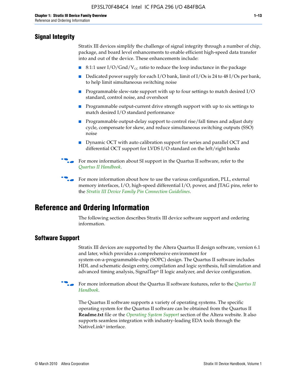# **Signal Integrity**

Stratix III devices simplify the challenge of signal integrity through a number of chip, package, and board level enhancements to enable efficient high-speed data transfer into and out of the device. These enhancements include:

- 8:1:1 user I/O/Gnd/V<sub>cc</sub> ratio to reduce the loop inductance in the package
- Dedicated power supply for each I/O bank, limit of I/Os is 24 to 48 I/Os per bank, to help limit simultaneous switching noise
- Programmable slew-rate support with up to four settings to match desired I/O standard, control noise, and overshoot
- Programmable output-current drive strength support with up to six settings to match desired I/O standard performance
- Programmable output-delay support to control rise/fall times and adjust duty cycle, compensate for skew, and reduce simultaneous switching outputs (SSO) noise
- Dynamic OCT with auto calibration support for series and parallel OCT and differential OCT support for LVDS I/O standard on the left/right banks
- For mor[e](http://www.altera.com/literature/hb/qts/quartusii_handbook.pdf) information about SI support in the Quartus II software, refer to the *[Quartus II Handbook](http://www.altera.com/literature/hb/qts/quartusii_handbook.pdf)*.

For more information about how to use the various configuration, PLL, external memory interfaces, I/O, high-speed differential I/O, power, and JTAG pins, refer to the *[Stratix III Device Family Pin Connection Guidelines](http://www.altera.com/literature/dp/stx3/PCG-01004.pdf)*.

# **Reference and Ordering Information**

The following section describes Stratix III device software support and ordering information.

# **Software Support**

Stratix III devices are supported by the Altera Quartus II design software, version 6.1 and later, which provides a comprehensive environment for system-on-a-programmable-chip (SOPC) design. The Quartus II software includes HDL and schematic design entry, compilation and logic synthesis, full simulation and advanced timing analysis, SignalTap® II logic analyzer, and device configuration.

**for more information about the [Quartus II](http://www.altera.com/literature/hb/qts/quartusii_handbook.pdf) software features, refer to the** *Quartus II* **<b>For all 2** *[Handbook](http://www.altera.com/literature/hb/qts/quartusii_handbook.pdf)*.

The Quartus II software supports a variety of operating systems. The specific operating system for the Quartus II software can be obtained from the Quartus II **Readme.txt** file or the *[Operating System Support](http://www.altera.com/support/software/os_support/oss-index.html)* section of the Altera website. It also supports seamless integration with industry-leading EDA tools through the NativeLink® interface.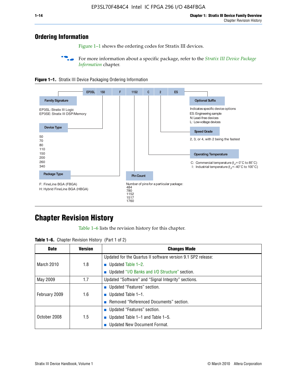# **Ordering Information**

Figure 1–1 shows the ordering codes for Stratix III devices.

For more information about a specific package, refer to the *Stratix III Device Package [Information](http://www.altera.com/literature/hb/stx3/stx3_siii51017.pdf)* chapter.





# **[C](http://www.altera.com/literature/hb/stx3/stx3_siii51012.pdf)hapter Revision History**

Table 1–6 lists the revision history for this chapter.

| <b>Table 1–6.</b> Chapter Revision History (Part 1 of 2) |  |  |  |  |  |
|----------------------------------------------------------|--|--|--|--|--|
|----------------------------------------------------------|--|--|--|--|--|

| <b>Date</b>       | <b>Version</b> | <b>Changes Made</b>                                          |
|-------------------|----------------|--------------------------------------------------------------|
|                   |                | Updated for the Quartus II software version 9.1 SP2 release: |
| <b>March 2010</b> | 1.8            | <b>u</b> Updated Table $1-2$ .                               |
|                   |                | ■ Updated "I/O Banks and I/O Structure" section.             |
| May 2009          | 1.7            | Updated "Software" and "Signal Integrity" sections.          |
|                   |                | Updated "Features" section.                                  |
| February 2009     | 1.6            | <b>u</b> Updated Table $1-1$ .                               |
|                   |                | Removed "Referenced Documents" section.                      |
|                   |                | ■ Updated "Features" section.                                |
| October 2008      | 1.5            | ■ Updated Table 1–1 and Table 1–5.                           |
|                   |                | <b>Updated New Document Format.</b>                          |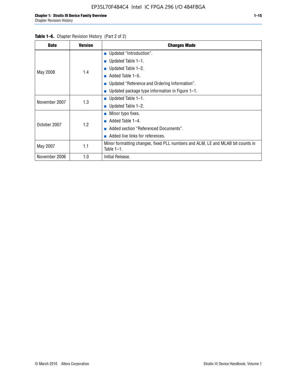| <b>Date</b>   | <b>Version</b> | <b>Changes Made</b>                                                                             |
|---------------|----------------|-------------------------------------------------------------------------------------------------|
|               |                | <b>Updated "Introduction".</b>                                                                  |
|               |                | $\blacksquare$ Updated Table 1-1.                                                               |
|               | 1.4            | Updated Table 1-2.                                                                              |
| May 2008      |                | Added Table 1-5.<br><b>COL</b>                                                                  |
|               |                | ■ Updated "Reference and Ordering Information".                                                 |
|               |                | Updated package type information in Figure 1-1.                                                 |
| November 2007 | 1.3            | ■ Updated Table $1-1$ .                                                                         |
|               |                | ■ Updated Table $1-2$ .                                                                         |
|               |                | Minor typo fixes.<br>$\mathcal{L}_{\mathcal{A}}$                                                |
| October 2007  | 1.2            | Added Table 1-4.<br><b>COL</b>                                                                  |
|               |                | Added section "Referenced Documents".                                                           |
|               |                | Added live links for references.                                                                |
| May 2007      | 1.1            | Minor formatting changes, fixed PLL numbers and ALM, LE and MLAB bit counts in<br>Table $1-1$ . |
| November 2006 | 1.0            | Initial Release.                                                                                |